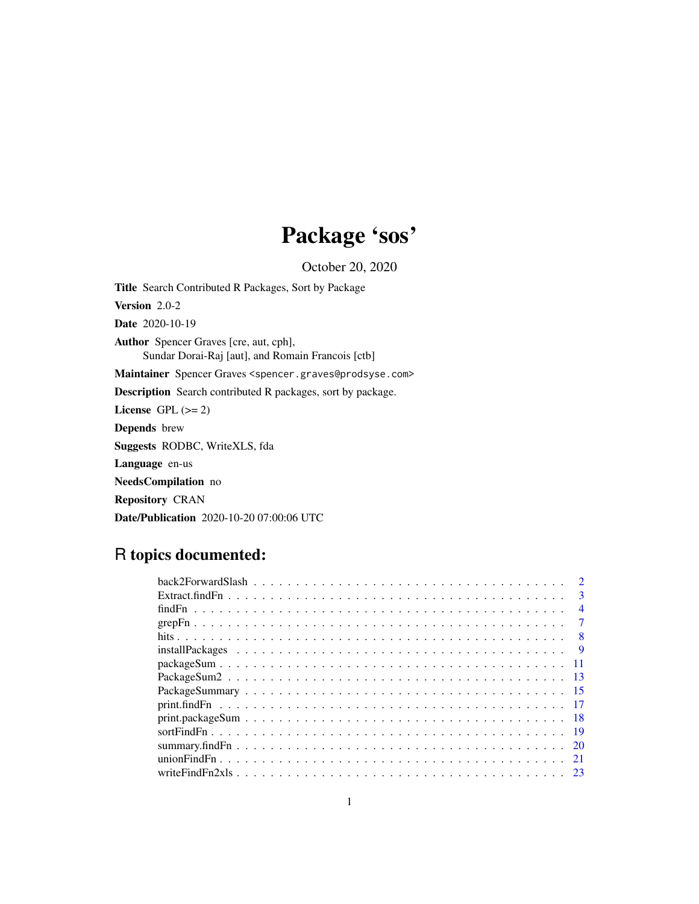# Package 'sos'

October 20, 2020

<span id="page-0-0"></span>Title Search Contributed R Packages, Sort by Package Version 2.0-2 Date 2020-10-19 Author Spencer Graves [cre, aut, cph], Sundar Dorai-Raj [aut], and Romain Francois [ctb] Maintainer Spencer Graves <spencer.graves@prodsyse.com> Description Search contributed R packages, sort by package. License GPL  $(>= 2)$ Depends brew Suggests RODBC, WriteXLS, fda Language en-us NeedsCompilation no Repository CRAN Date/Publication 2020-10-20 07:00:06 UTC

# R topics documented:

|  |  |  |  |  |  |  |  |  |  |  |  |  |  |  |  |  |  |  | $\mathbf{3}$   |
|--|--|--|--|--|--|--|--|--|--|--|--|--|--|--|--|--|--|--|----------------|
|  |  |  |  |  |  |  |  |  |  |  |  |  |  |  |  |  |  |  | $\overline{4}$ |
|  |  |  |  |  |  |  |  |  |  |  |  |  |  |  |  |  |  |  |                |
|  |  |  |  |  |  |  |  |  |  |  |  |  |  |  |  |  |  |  | -8             |
|  |  |  |  |  |  |  |  |  |  |  |  |  |  |  |  |  |  |  | -9             |
|  |  |  |  |  |  |  |  |  |  |  |  |  |  |  |  |  |  |  |                |
|  |  |  |  |  |  |  |  |  |  |  |  |  |  |  |  |  |  |  | -13            |
|  |  |  |  |  |  |  |  |  |  |  |  |  |  |  |  |  |  |  |                |
|  |  |  |  |  |  |  |  |  |  |  |  |  |  |  |  |  |  |  |                |
|  |  |  |  |  |  |  |  |  |  |  |  |  |  |  |  |  |  |  |                |
|  |  |  |  |  |  |  |  |  |  |  |  |  |  |  |  |  |  |  |                |
|  |  |  |  |  |  |  |  |  |  |  |  |  |  |  |  |  |  |  | -20            |
|  |  |  |  |  |  |  |  |  |  |  |  |  |  |  |  |  |  |  | -21            |
|  |  |  |  |  |  |  |  |  |  |  |  |  |  |  |  |  |  |  |                |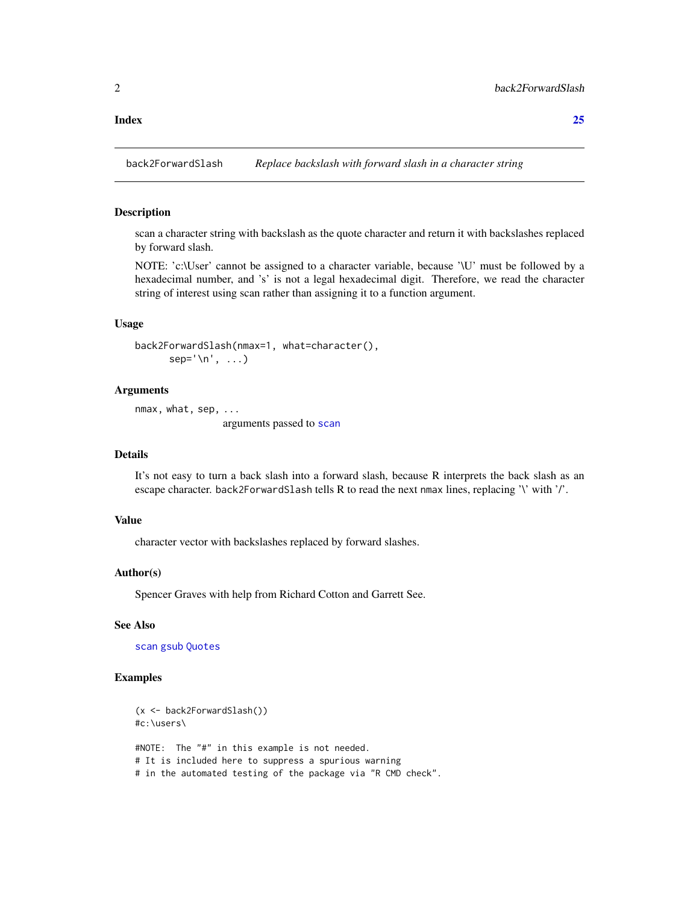#### <span id="page-1-0"></span>**Index** [25](#page-24-0)

back2ForwardSlash *Replace backslash with forward slash in a character string*

#### Description

scan a character string with backslash as the quote character and return it with backslashes replaced by forward slash.

NOTE: 'c:\User' cannot be assigned to a character variable, because '\U' must be followed by a hexadecimal number, and 's' is not a legal hexadecimal digit. Therefore, we read the character string of interest using scan rather than assigning it to a function argument.

# Usage

```
back2ForwardSlash(nmax=1, what=character(),
     sep='n', ...)
```
#### Arguments

nmax, what, sep, ... arguments passed to [scan](#page-0-0)

#### Details

It's not easy to turn a back slash into a forward slash, because R interprets the back slash as an escape character. back2ForwardS1ash tells R to read the next nmax lines, replacing '\' with '/'.

### Value

character vector with backslashes replaced by forward slashes.

#### Author(s)

Spencer Graves with help from Richard Cotton and Garrett See.

#### See Also

[scan](#page-0-0) [gsub](#page-0-0) [Quotes](#page-0-0)

#### Examples

```
(x <- back2ForwardSlash())
#c:\users\
#NOTE: The "#" in this example is not needed.
# It is included here to suppress a spurious warning
# in the automated testing of the package via "R CMD check".
```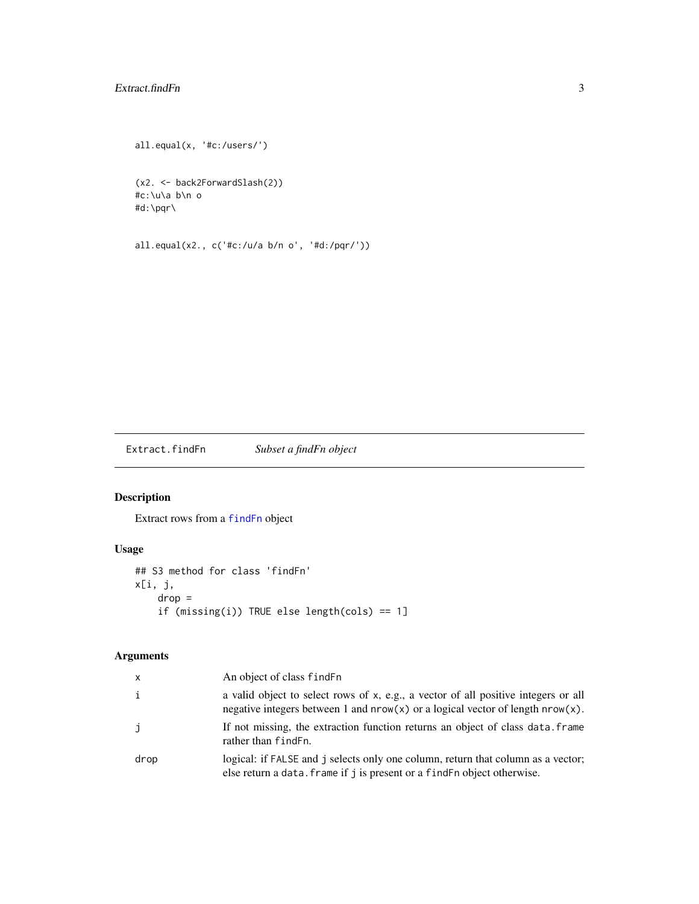# <span id="page-2-0"></span>Extract.findFn 3

```
all.equal(x, '#c:/users/')
```
(x2. <- back2ForwardSlash(2)) #c:\u\a b\n o #d:\pqr\

all.equal(x2., c('#c:/u/a b/n o', '#d:/pqr/'))

Extract.findFn *Subset a findFn object*

# Description

Extract rows from a [findFn](#page-3-1) object

# Usage

```
## S3 method for class 'findFn'
x[i, j,
    drop =
    if (missing(i)) TRUE else length(cols) == 1]
```
# Arguments

| x    | An object of class find Fn                                                                                                                                                |
|------|---------------------------------------------------------------------------------------------------------------------------------------------------------------------------|
| i    | a valid object to select rows of x, e.g., a vector of all positive integers or all<br>negative integers between 1 and $nrow(x)$ or a logical vector of length $nrow(x)$ . |
| j    | If not missing, the extraction function returns an object of class data. frame<br>rather than find Fn.                                                                    |
| drop | logical: if FALSE and j selects only one column, return that column as a vector;<br>else return a data. frame if j is present or a findFn object otherwise.               |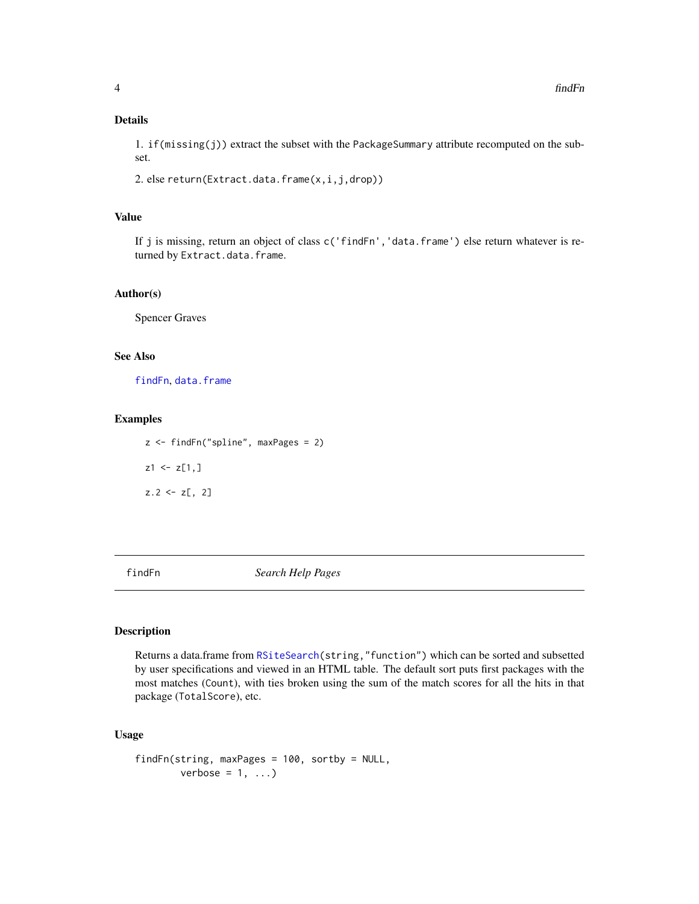### <span id="page-3-0"></span>Details

1. if(missing(j)) extract the subset with the PackageSummary attribute recomputed on the subset.

2. else return(Extract.data.frame(x,i,j,drop))

#### Value

If j is missing, return an object of class c('findFn','data.frame') else return whatever is returned by Extract.data.frame.

#### Author(s)

Spencer Graves

# See Also

[findFn](#page-3-1), [data.frame](#page-0-0)

#### Examples

z <- findFn("spline", maxPages = 2)  $z1 \leftarrow z[1,]$  $z.2 \le z$ , 2]

<span id="page-3-1"></span>

findFn *Search Help Pages*

#### Description

Returns a data.frame from [RSiteSearch\(](#page-0-0)string,"function") which can be sorted and subsetted by user specifications and viewed in an HTML table. The default sort puts first packages with the most matches (Count), with ties broken using the sum of the match scores for all the hits in that package (TotalScore), etc.

```
findFn(string, maxPages = 100, sortby = NULL,
       verbose = 1, ...)
```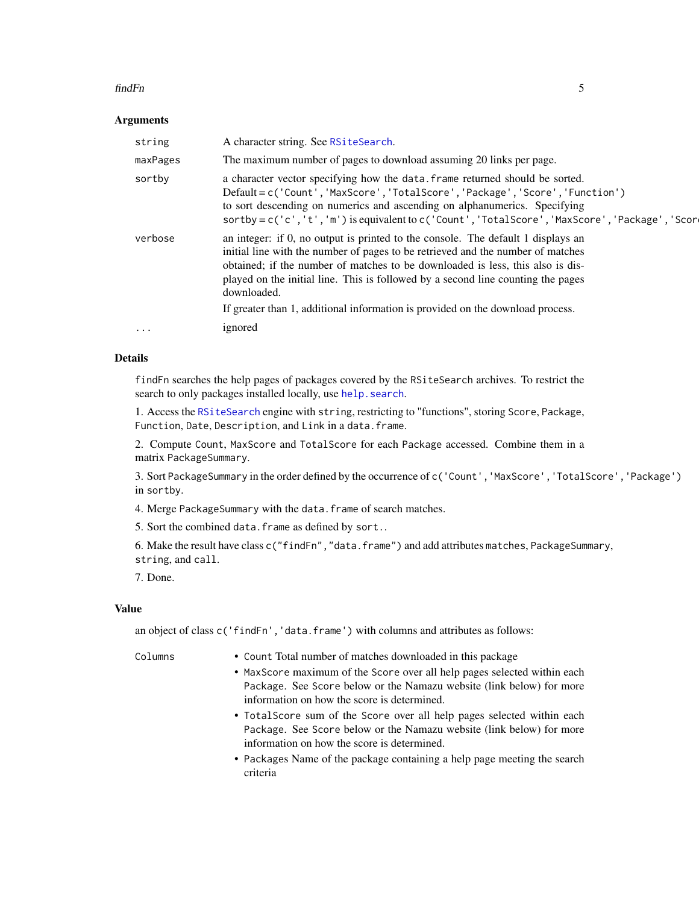#### <span id="page-4-0"></span>findFn 5

#### Arguments

| The maximum number of pages to download assuming 20 links per page.<br>maxPages<br>a character vector specifying how the data. frame returned should be sorted.<br>sortby<br>Default=c('Count','MaxScore','TotalScore','Package','Score','Function')<br>to sort descending on numerics and ascending on alphanumerics. Specifying<br>sortby=c('c','t','m') is equivalent to c('Count','TotalScore','MaxScore','Package','Scor<br>an integer: if 0, no output is printed to the console. The default 1 displays an<br>verbose<br>initial line with the number of pages to be retrieved and the number of matches<br>obtained; if the number of matches to be downloaded is less, this also is dis-<br>played on the initial line. This is followed by a second line counting the pages<br>downloaded.<br>If greater than 1, additional information is provided on the download process.<br>ignored<br>$\cdot\cdot\cdot$ |
|------------------------------------------------------------------------------------------------------------------------------------------------------------------------------------------------------------------------------------------------------------------------------------------------------------------------------------------------------------------------------------------------------------------------------------------------------------------------------------------------------------------------------------------------------------------------------------------------------------------------------------------------------------------------------------------------------------------------------------------------------------------------------------------------------------------------------------------------------------------------------------------------------------------------|
|                                                                                                                                                                                                                                                                                                                                                                                                                                                                                                                                                                                                                                                                                                                                                                                                                                                                                                                        |
|                                                                                                                                                                                                                                                                                                                                                                                                                                                                                                                                                                                                                                                                                                                                                                                                                                                                                                                        |
|                                                                                                                                                                                                                                                                                                                                                                                                                                                                                                                                                                                                                                                                                                                                                                                                                                                                                                                        |
|                                                                                                                                                                                                                                                                                                                                                                                                                                                                                                                                                                                                                                                                                                                                                                                                                                                                                                                        |

# Details

findFn searches the help pages of packages covered by the RSiteSearch archives. To restrict the search to only packages installed locally, use help. search.

1. Access the [RSiteSearch](#page-0-0) engine with string, restricting to "functions", storing Score, Package, Function, Date, Description, and Link in a data.frame.

2. Compute Count, MaxScore and TotalScore for each Package accessed. Combine them in a matrix PackageSummary.

3. Sort PackageSummary in the order defined by the occurrence of c('Count','MaxScore','TotalScore','Package') in sortby.

4. Merge PackageSummary with the data.frame of search matches.

5. Sort the combined data.frame as defined by sort..

6. Make the result have class c("findFn","data.frame") and add attributes matches, PackageSummary, string, and call.

7. Done.

# Value

an object of class c('findFn','data.frame') with columns and attributes as follows:

- Columns Count Total number of matches downloaded in this package
	- MaxScore maximum of the Score over all help pages selected within each Package. See Score below or the Namazu website (link below) for more information on how the score is determined.
	- TotalScore sum of the Score over all help pages selected within each Package. See Score below or the Namazu website (link below) for more information on how the score is determined.
	- Packages Name of the package containing a help page meeting the search criteria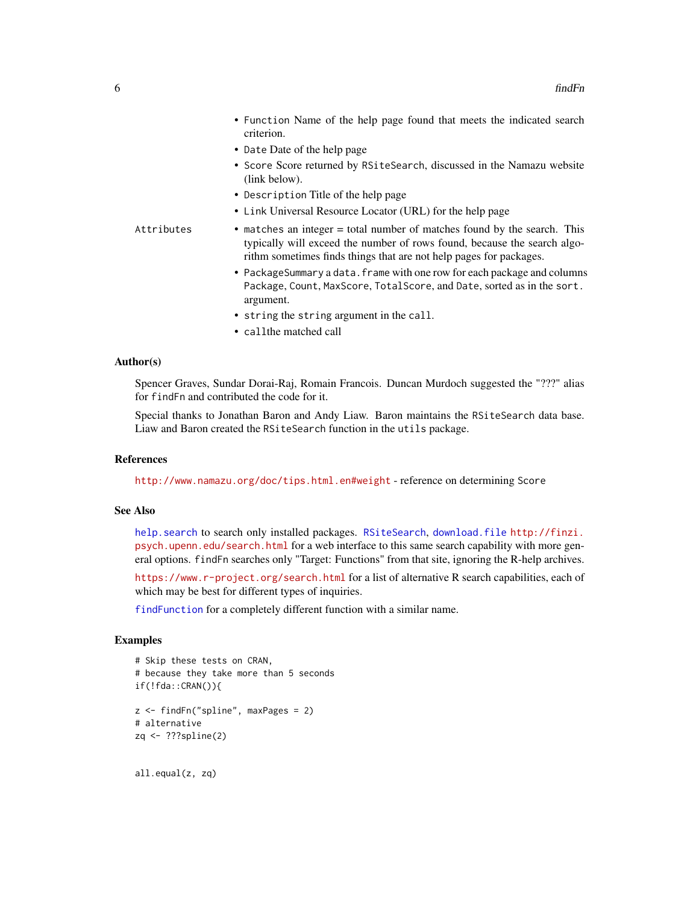<span id="page-5-0"></span>

|            | • Function Name of the help page found that meets the indicated search<br>criterion.                                                                                                                                       |
|------------|----------------------------------------------------------------------------------------------------------------------------------------------------------------------------------------------------------------------------|
|            | • Date Date of the help page                                                                                                                                                                                               |
|            | • Score Score returned by RSiteSearch, discussed in the Namazu website<br>$(link\,below).$                                                                                                                                 |
|            | • Description Title of the help page                                                                                                                                                                                       |
|            | • Link Universal Resource Locator (URL) for the help page                                                                                                                                                                  |
| Attributes | • matches an integer = total number of matches found by the search. This<br>typically will exceed the number of rows found, because the search algo-<br>rithm sometimes finds things that are not help pages for packages. |
|            | • PackageSummary a data. frame with one row for each package and columns<br>Package, Count, MaxScore, TotalScore, and Date, sorted as in the sort.<br>argument.                                                            |
|            | • string the string argument in the call.                                                                                                                                                                                  |

• callthe matched call

#### Author(s)

Spencer Graves, Sundar Dorai-Raj, Romain Francois. Duncan Murdoch suggested the "???" alias for findFn and contributed the code for it.

Special thanks to Jonathan Baron and Andy Liaw. Baron maintains the RSiteSearch data base. Liaw and Baron created the RSiteSearch function in the utils package.

#### References

<http://www.namazu.org/doc/tips.html.en#weight> - reference on determining Score

# See Also

[help.search](#page-0-0) to search only installed packages. [RSiteSearch](#page-0-0), [download.file](#page-0-0) [http://finzi.](http://finzi.psych.upenn.edu/search.html) [psych.upenn.edu/search.html](http://finzi.psych.upenn.edu/search.html) for a web interface to this same search capability with more general options. findFn searches only "Target: Functions" from that site, ignoring the R-help archives.

<https://www.r-project.org/search.html> for a list of alternative R search capabilities, each of which may be best for different types of inquiries.

[findFunction](#page-0-0) for a completely different function with a similar name.

# Examples

```
# Skip these tests on CRAN,
# because they take more than 5 seconds
if(!fda::CRAN()){
z <- findFn("spline", maxPages = 2)
# alternative
zq <- ???spline(2)
```
all.equal(z, zq)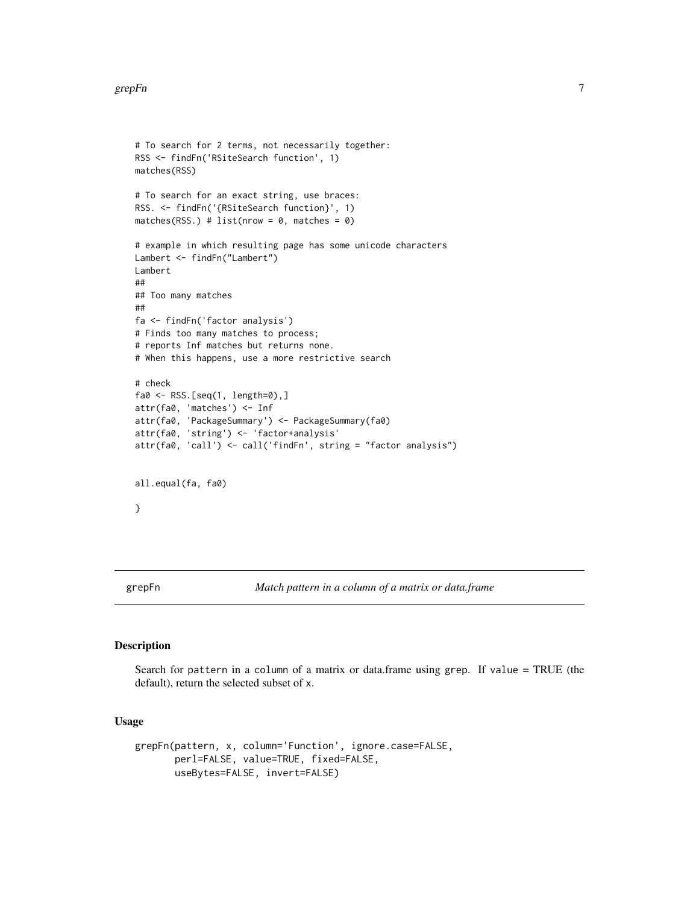#### <span id="page-6-0"></span>grepFn 7

```
# To search for 2 terms, not necessarily together:
RSS <- findFn('RSiteSearch function', 1)
matches(RSS)
# To search for an exact string, use braces:
RSS. <- findFn('{RSiteSearch function}', 1)
matches(RSS.) # list(nrow = \theta, matches = \theta)
# example in which resulting page has some unicode characters
Lambert <- findFn("Lambert")
Lambert
##
## Too many matches
##
fa <- findFn('factor analysis')
# Finds too many matches to process;
# reports Inf matches but returns none.
# When this happens, use a more restrictive search
# check
fa0 <- RSS.[seq(1, length=0),]
attr(fa0, 'matches') <- Inf
attr(fa0, 'PackageSummary') <- PackageSummary(fa0)
attr(fa0, 'string') <- 'factor+analysis'
attr(fa0, 'call') <- call('findFn', string = "factor analysis")
all.equal(fa, fa0)
}
```
grepFn *Match pattern in a column of a matrix or data.frame*

### Description

Search for pattern in a column of a matrix or data.frame using grep. If value = TRUE (the default), return the selected subset of x.

```
grepFn(pattern, x, column='Function', ignore.case=FALSE,
      perl=FALSE, value=TRUE, fixed=FALSE,
      useBytes=FALSE, invert=FALSE)
```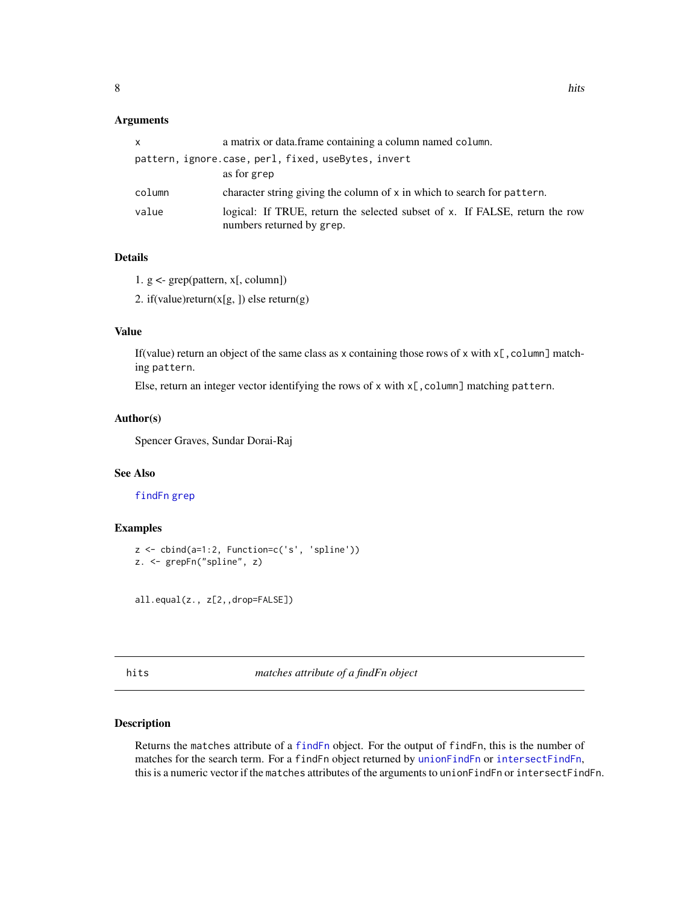<span id="page-7-0"></span>

| x      | a matrix or data.frame containing a column named column.                                                 |
|--------|----------------------------------------------------------------------------------------------------------|
|        | pattern, ignore.case, perl, fixed, useBytes, invert                                                      |
|        | as for grep                                                                                              |
| column | character string giving the column of x in which to search for pattern.                                  |
| value  | logical: If TRUE, return the selected subset of x. If FALSE, return the row<br>numbers returned by grep. |

# Details

1. g <- grep(pattern, x[, column])

2. if(value)return(x[g, ]) else return(g)

#### Value

If (value) return an object of the same class as x containing those rows of x with  $x \in \text{column}$  matching pattern.

Else, return an integer vector identifying the rows of  $x$  with  $x$ [, column] matching pattern.

#### Author(s)

Spencer Graves, Sundar Dorai-Raj

#### See Also

# [findFn](#page-3-1) [grep](#page-0-0)

#### Examples

```
z <- cbind(a=1:2, Function=c('s', 'spline'))
z. <- grepFn("spline", z)
```
all.equal(z., z[2,,drop=FALSE])

hits *matches attribute of a findFn object*

#### Description

Returns the matches attribute of a [findFn](#page-3-1) object. For the output of findFn, this is the number of matches for the search term. For a findFn object returned by [unionFindFn](#page-20-1) or [intersectFindFn](#page-20-2), this is a numeric vector if the matches attributes of the arguments to unionFindFn or intersectFindFn.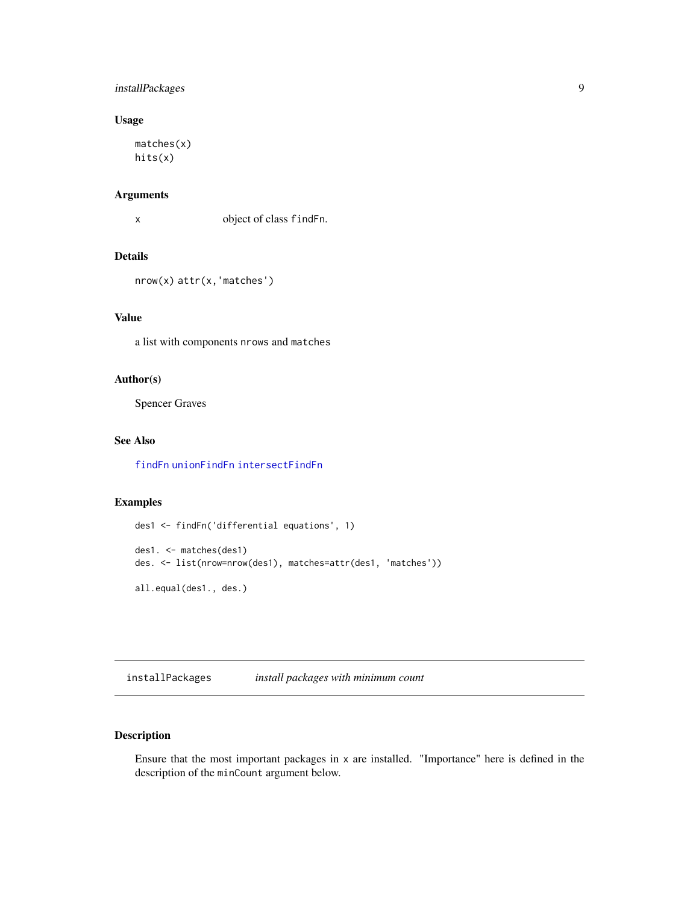# <span id="page-8-0"></span>installPackages 9

# Usage

matches(x) hits(x)

# Arguments

x object of class findFn.

# Details

nrow(x) attr(x,'matches')

# Value

a list with components nrows and matches

#### Author(s)

Spencer Graves

# See Also

[findFn](#page-3-1) [unionFindFn](#page-20-1) [intersectFindFn](#page-20-2)

#### Examples

```
des1 <- findFn('differential equations', 1)
des1. <- matches(des1)
des. <- list(nrow=nrow(des1), matches=attr(des1, 'matches'))
all.equal(des1., des.)
```
<span id="page-8-1"></span>installPackages *install packages with minimum count*

# Description

Ensure that the most important packages in x are installed. "Importance" here is defined in the description of the minCount argument below.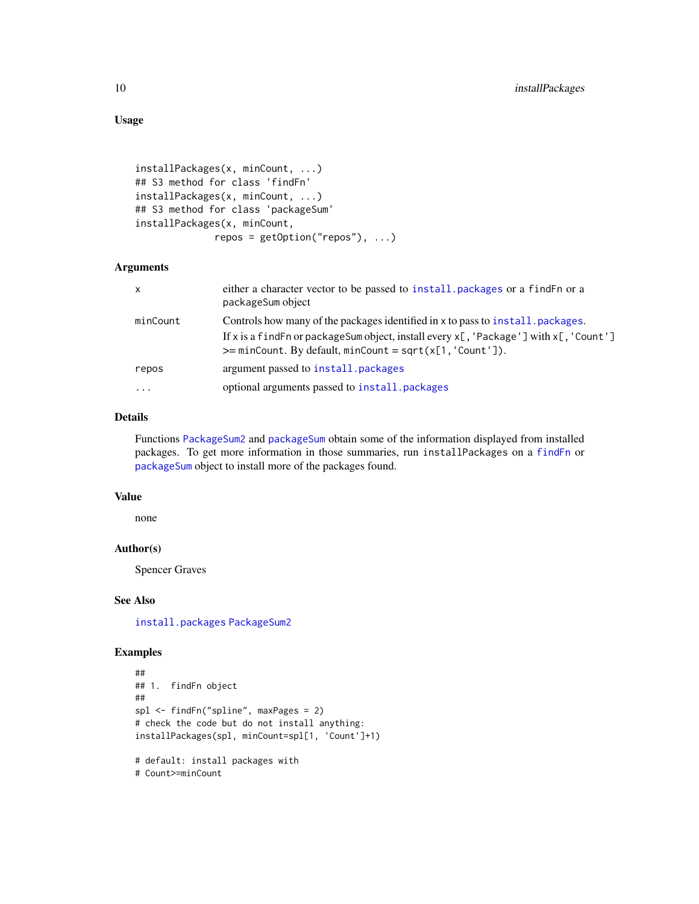# Usage

```
installPackages(x, minCount, ...)
## S3 method for class 'findFn'
installPackages(x, minCount, ...)
## S3 method for class 'packageSum'
installPackages(x, minCount,
              repos = getOption("repos"), ...)
```
#### Arguments

| $\mathsf{x}$ | either a character vector to be passed to install, packages or a find Fn or a<br>packageSum object                                                             |
|--------------|----------------------------------------------------------------------------------------------------------------------------------------------------------------|
| minCount     | Controls how many of the packages identified in x to pass to install, packages.                                                                                |
|              | If x is a find Fn or package Sum object, install every $x$ [, 'Package'] with $x$ [, 'Count']<br>$\ge$ = minCount. By default, minCount = sqrt(x[1, 'Count']). |
| repos        | argument passed to install, packages                                                                                                                           |
| $\cdots$     | optional arguments passed to install. packages                                                                                                                 |

#### Details

Functions [PackageSum2](#page-12-1) and [packageSum](#page-10-1) obtain some of the information displayed from installed packages. To get more information in those summaries, run installPackages on a [findFn](#page-3-1) or [packageSum](#page-10-1) object to install more of the packages found.

#### Value

none

#### Author(s)

Spencer Graves

# See Also

[install.packages](#page-0-0) [PackageSum2](#page-12-1)

# Examples

```
##
## 1. findFn object
##
spl <- findFn("spline", maxPages = 2)
# check the code but do not install anything:
installPackages(spl, minCount=spl[1, 'Count']+1)
# default: install packages with
```
# Count>=minCount

<span id="page-9-0"></span>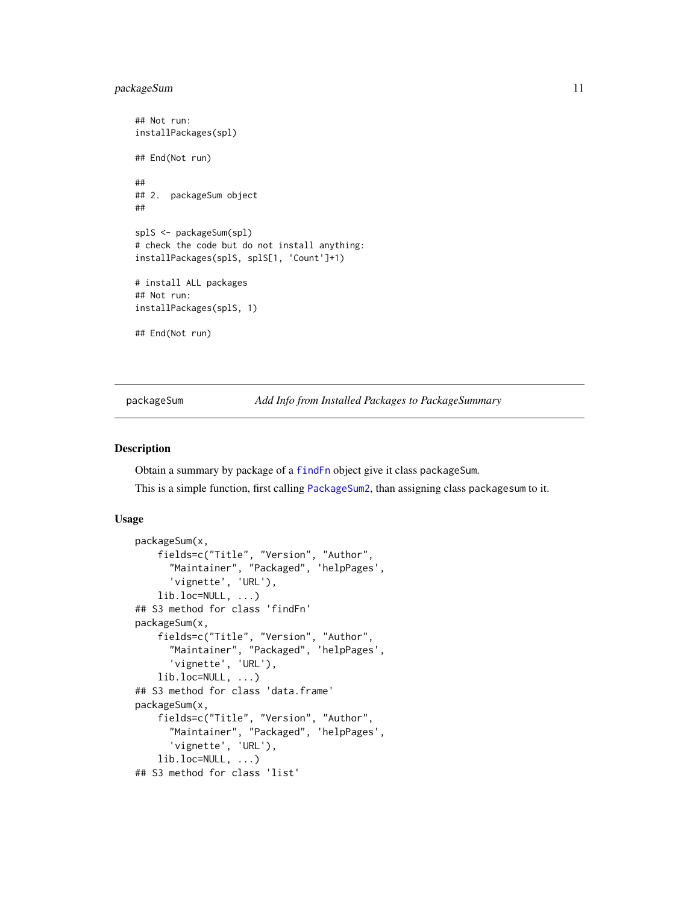# <span id="page-10-0"></span>packageSum 11

## Not run: installPackages(spl) ## End(Not run) ## ## 2. packageSum object ## splS <- packageSum(spl) # check the code but do not install anything: installPackages(splS, splS[1, 'Count']+1) # install ALL packages ## Not run: installPackages(splS, 1) ## End(Not run)

<span id="page-10-1"></span>packageSum *Add Info from Installed Packages to PackageSummary*

#### Description

Obtain a summary by package of a [findFn](#page-3-1) object give it class packageSum.

This is a simple function, first calling [PackageSum2](#page-12-1), than assigning class packagesum to it.

```
packageSum(x,
    fields=c("Title", "Version", "Author",
      "Maintainer", "Packaged", 'helpPages',
      'vignette', 'URL'),
    lib.loc=NULL, ...)
## S3 method for class 'findFn'
packageSum(x,
    fields=c("Title", "Version", "Author",
      "Maintainer", "Packaged", 'helpPages',
      'vignette', 'URL'),
    lib.loc=NULL, ...)
## S3 method for class 'data.frame'
packageSum(x,
    fields=c("Title", "Version", "Author",
      "Maintainer", "Packaged", 'helpPages',
      'vignette', 'URL'),
    lib.loc=NULL, ...)
## S3 method for class 'list'
```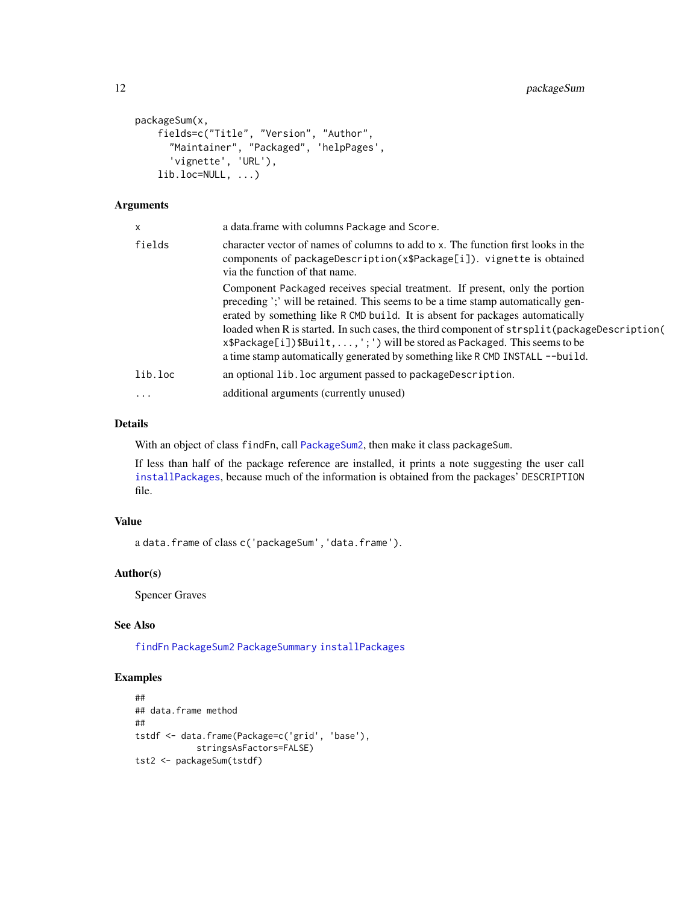```
packageSum(x,
    fields=c("Title", "Version", "Author",
      "Maintainer", "Packaged", 'helpPages',
      'vignette', 'URL'),
    lib.loc=NULL, ...)
```

| X          | a data.frame with columns Package and Score.                                                                                                                                                                                                                                                                                                                                                                                                                                                                    |
|------------|-----------------------------------------------------------------------------------------------------------------------------------------------------------------------------------------------------------------------------------------------------------------------------------------------------------------------------------------------------------------------------------------------------------------------------------------------------------------------------------------------------------------|
| fields     | character vector of names of columns to add to x. The function first looks in the<br>components of packageDescription(x\$Package[i]). vignette is obtained<br>via the function of that name.                                                                                                                                                                                                                                                                                                                    |
|            | Component Packaged receives special treatment. If present, only the portion<br>preceding ';' will be retained. This seems to be a time stamp automatically gen-<br>erated by something like R CMD build. It is absent for packages automatically<br>loaded when R is started. In such cases, the third component of strsplit (packageDescription (<br>x\$Package[i])\$Built,,';') will be stored as Packaged. This seems to be<br>a time stamp automatically generated by something like R CMD INSTALL --build. |
| lib.loc    | an optional lib. loc argument passed to package Description.                                                                                                                                                                                                                                                                                                                                                                                                                                                    |
| $\ddots$ . | additional arguments (currently unused)                                                                                                                                                                                                                                                                                                                                                                                                                                                                         |

# Details

With an object of class findFn, call [PackageSum2](#page-12-1), then make it class packageSum.

If less than half of the package reference are installed, it prints a note suggesting the user call [installPackages](#page-8-1), because much of the information is obtained from the packages' DESCRIPTION file.

# Value

a data.frame of class c('packageSum','data.frame').

#### Author(s)

Spencer Graves

# See Also

[findFn](#page-3-1) [PackageSum2](#page-12-1) [PackageSummary](#page-14-1) [installPackages](#page-8-1)

# Examples

```
##
## data.frame method
##
tstdf <- data.frame(Package=c('grid', 'base'),
            stringsAsFactors=FALSE)
tst2 <- packageSum(tstdf)
```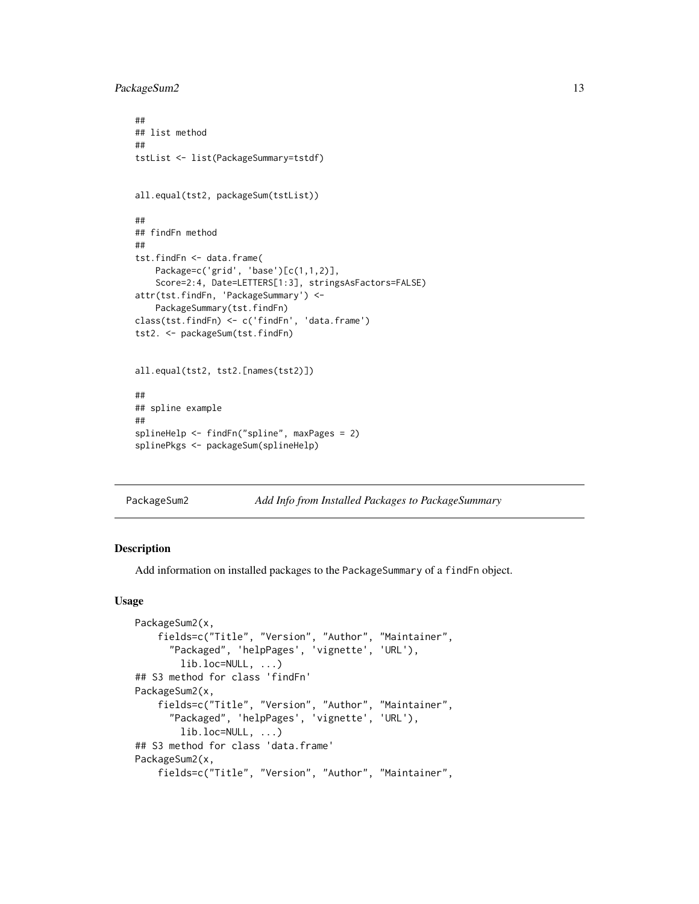#### <span id="page-12-0"></span>PackageSum2 13

```
##
## list method
##
tstList <- list(PackageSummary=tstdf)
all.equal(tst2, packageSum(tstList))
##
## findFn method
##
tst.findFn <- data.frame(
   Package=c('grid', 'base')[c(1,1,2)],
   Score=2:4, Date=LETTERS[1:3], stringsAsFactors=FALSE)
attr(tst.findFn, 'PackageSummary') <-
   PackageSummary(tst.findFn)
class(tst.findFn) <- c('findFn', 'data.frame')
tst2. <- packageSum(tst.findFn)
all.equal(tst2, tst2.[names(tst2)])
##
## spline example
##
splineHelp <- findFn("spline", maxPages = 2)
splinePkgs <- packageSum(splineHelp)
```
#### <span id="page-12-1"></span>PackageSum2 *Add Info from Installed Packages to PackageSummary*

#### Description

Add information on installed packages to the PackageSummary of a findFn object.

```
PackageSum2(x,
    fields=c("Title", "Version", "Author", "Maintainer",
      "Packaged", 'helpPages', 'vignette', 'URL'),
        lib.loc=NULL, ...)
## S3 method for class 'findFn'
PackageSum2(x,
    fields=c("Title", "Version", "Author", "Maintainer",
      "Packaged", 'helpPages', 'vignette', 'URL'),
        lib.loc=NULL, ...)
## S3 method for class 'data.frame'
PackageSum2(x,
    fields=c("Title", "Version", "Author", "Maintainer",
```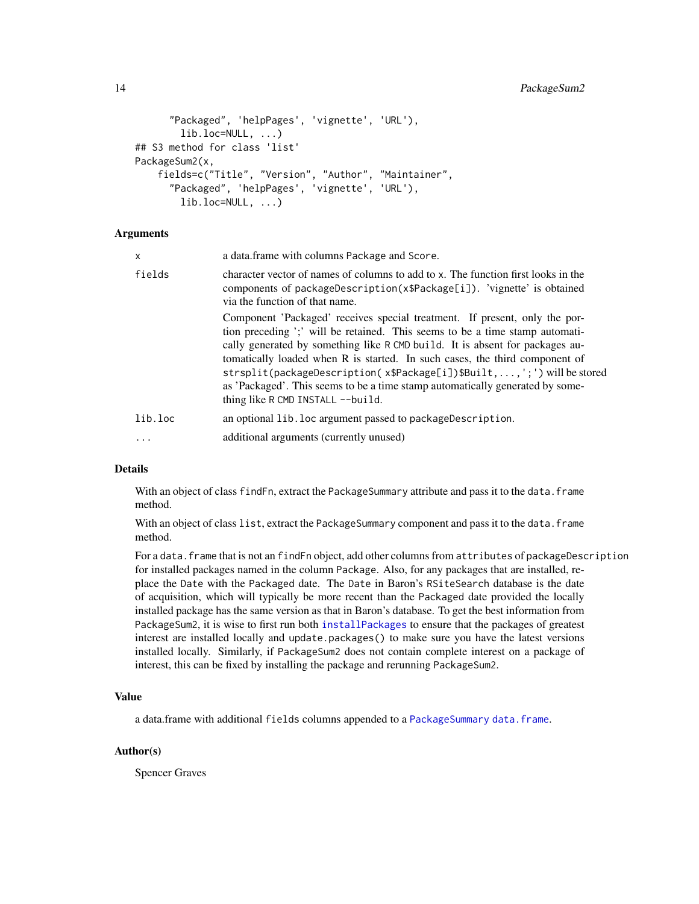```
"Packaged", 'helpPages', 'vignette', 'URL'),
        lib.loc=NULL, ...)
## S3 method for class 'list'
PackageSum2(x,
    fields=c("Title", "Version", "Author", "Maintainer",
      "Packaged", 'helpPages', 'vignette', 'URL'),
        lib.loc=NULL, ...)
```

| X        | a data.frame with columns Package and Score.                                                                                                                                                                                                                                                                                                                                                                                                                                                                                   |
|----------|--------------------------------------------------------------------------------------------------------------------------------------------------------------------------------------------------------------------------------------------------------------------------------------------------------------------------------------------------------------------------------------------------------------------------------------------------------------------------------------------------------------------------------|
| fields   | character vector of names of columns to add to x. The function first looks in the<br>components of packageDescription(x\$Package[i]). 'vignette' is obtained<br>via the function of that name.                                                                                                                                                                                                                                                                                                                                 |
|          | Component 'Packaged' receives special treatment. If present, only the por-<br>tion preceding ';' will be retained. This seems to be a time stamp automati-<br>cally generated by something like R CMD build. It is absent for packages au-<br>tomatically loaded when R is started. In such cases, the third component of<br>strsplit(packageDescription(x\$Package[i])\$Built,,';') will be stored<br>as 'Packaged'. This seems to be a time stamp automatically generated by some-<br>thing like $R$ CMD INSTALL $-$ -build. |
| lib.loc  | an optional lib. loc argument passed to package Description.                                                                                                                                                                                                                                                                                                                                                                                                                                                                   |
| $\cdots$ | additional arguments (currently unused)                                                                                                                                                                                                                                                                                                                                                                                                                                                                                        |

#### Details

With an object of class findFn, extract the PackageSummary attribute and pass it to the data. frame method.

With an object of class list, extract the PackageSummary component and pass it to the data. frame method.

For a data. frame that is not an findFn object, add other columns from attributes of packageDescription for installed packages named in the column Package. Also, for any packages that are installed, replace the Date with the Packaged date. The Date in Baron's RSiteSearch database is the date of acquisition, which will typically be more recent than the Packaged date provided the locally installed package has the same version as that in Baron's database. To get the best information from PackageSum2, it is wise to first run both [installPackages](#page-8-1) to ensure that the packages of greatest interest are installed locally and update.packages() to make sure you have the latest versions installed locally. Similarly, if PackageSum2 does not contain complete interest on a package of interest, this can be fixed by installing the package and rerunning PackageSum2.

# Value

a data.frame with additional fields columns appended to a [PackageSummary](#page-14-1) [data.frame](#page-0-0).

#### Author(s)

Spencer Graves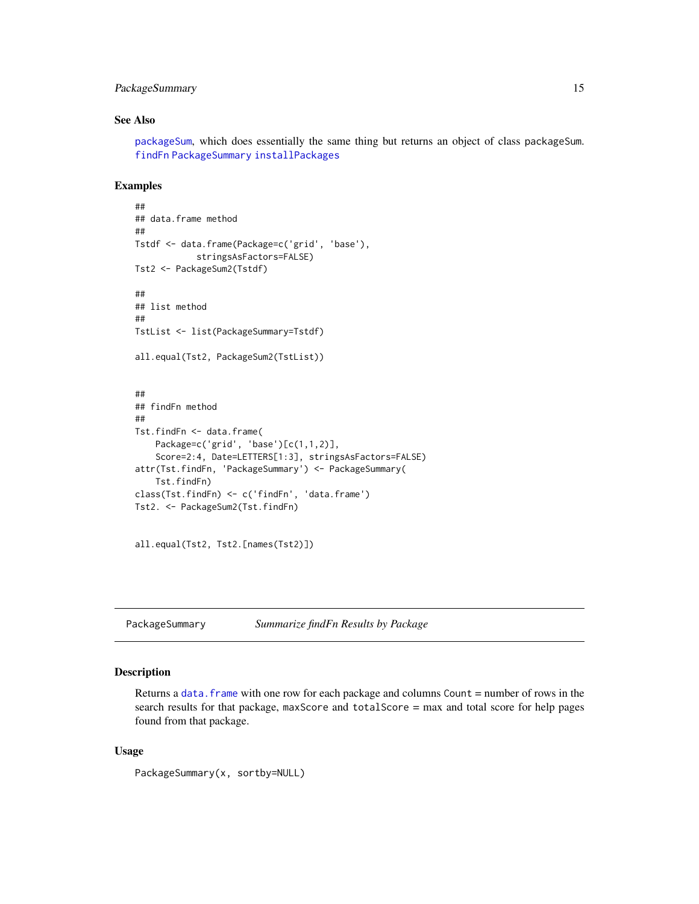# <span id="page-14-0"></span>PackageSummary 15

#### See Also

[packageSum](#page-10-1), which does essentially the same thing but returns an object of class packageSum. [findFn](#page-3-1) [PackageSummary](#page-14-1) [installPackages](#page-8-1)

#### Examples

```
##
## data.frame method
##
Tstdf <- data.frame(Package=c('grid', 'base'),
            stringsAsFactors=FALSE)
Tst2 <- PackageSum2(Tstdf)
##
## list method
##
TstList <- list(PackageSummary=Tstdf)
all.equal(Tst2, PackageSum2(TstList))
##
## findFn method
##
Tst.findFn <- data.frame(
   Package=c('grid', 'base')[c(1,1,2)],
   Score=2:4, Date=LETTERS[1:3], stringsAsFactors=FALSE)
attr(Tst.findFn, 'PackageSummary') <- PackageSummary(
   Tst.findFn)
class(Tst.findFn) <- c('findFn', 'data.frame')
Tst2. <- PackageSum2(Tst.findFn)
```
all.equal(Tst2, Tst2.[names(Tst2)])

<span id="page-14-1"></span>PackageSummary *Summarize findFn Results by Package*

#### Description

Returns a data. frame with one row for each package and columns Count  $=$  number of rows in the search results for that package, maxScore and totalScore = max and total score for help pages found from that package.

```
PackageSummary(x, sortby=NULL)
```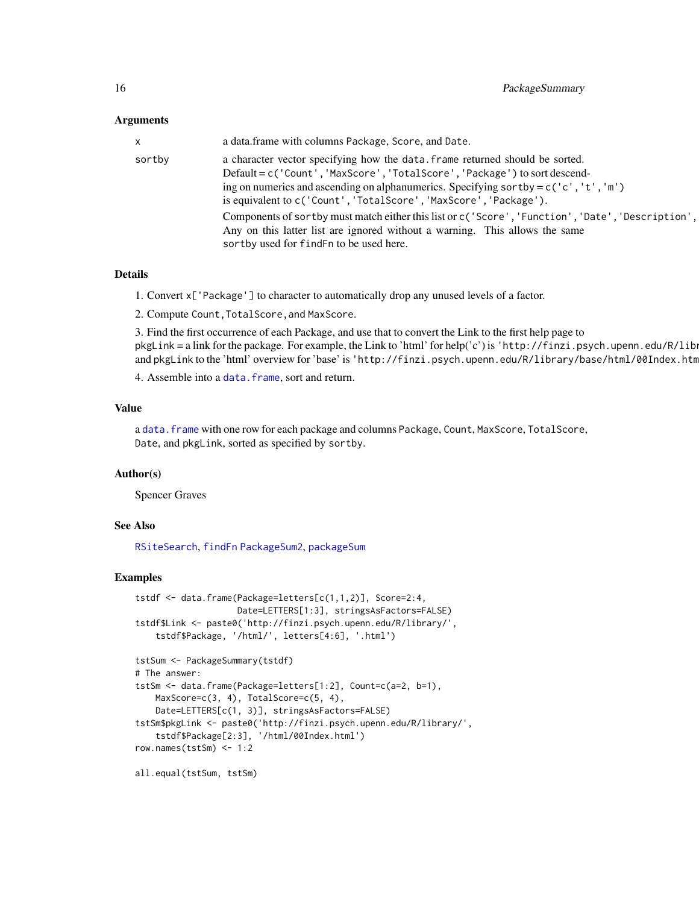<span id="page-15-0"></span>

| x.     | a data.frame with columns Package, Score, and Date.                                                                                                                                                                                                                                                                       |
|--------|---------------------------------------------------------------------------------------------------------------------------------------------------------------------------------------------------------------------------------------------------------------------------------------------------------------------------|
| sortby | a character vector specifying how the data. frame returned should be sorted.<br>Default = c('Count', 'MaxScore', 'TotalScore', 'Package') to sort descend-<br>ing on numerics and ascending on alphanumerics. Specifying sortby = $c('c', 't', 'm')$<br>is equivalent to c('Count', 'TotalScore', 'MaxScore', 'Package'). |
|        | Components of sortby must match either this list or c('Score', 'Function', 'Date', 'Description',  <br>Any on this latter list are ignored without a warning. This allows the same<br>sortby used for find Fn to be used here.                                                                                            |

#### Details

1. Convert x['Package'] to character to automatically drop any unused levels of a factor.

2. Compute Count,TotalScore,and MaxScore.

3. Find the first occurrence of each Package, and use that to convert the Link to the first help page to  $pkgLink = a link for the package. For example, the Link to 'html' for help('c') is 'http://finzi.psych.upenn.edu/R/library/$ and pkgLink to the 'html' overview for 'base' is 'http://finzi.psych.upenn.edu/R/library/base/html/00Index.htm

4. Assemble into a data. frame, sort and return.

# Value

a [data.frame](#page-0-0) with one row for each package and columns Package, Count, MaxScore, TotalScore, Date, and pkgLink, sorted as specified by sortby.

#### Author(s)

Spencer Graves

#### See Also

[RSiteSearch](#page-0-0), [findFn](#page-3-1) [PackageSum2](#page-12-1), [packageSum](#page-10-1)

#### Examples

```
tstdf <- data.frame(Package=letters[c(1,1,2)], Score=2:4,
                   Date=LETTERS[1:3], stringsAsFactors=FALSE)
tstdf$Link <- paste0('http://finzi.psych.upenn.edu/R/library/',
    tstdf$Package, '/html/', letters[4:6], '.html')
tstSum <- PackageSummary(tstdf)
# The answer:
tstSm <- data.frame(Package=letters[1:2], Count=c(a=2, b=1),
   MaxScore=c(3, 4), TotalScore=c(5, 4),
   Date=LETTERS[c(1, 3)], stringsAsFactors=FALSE)
tstSm$pkgLink <- paste0('http://finzi.psych.upenn.edu/R/library/',
    tstdf$Package[2:3], '/html/00Index.html')
row.names(tstSm) <- 1:2
all.equal(tstSum, tstSm)
```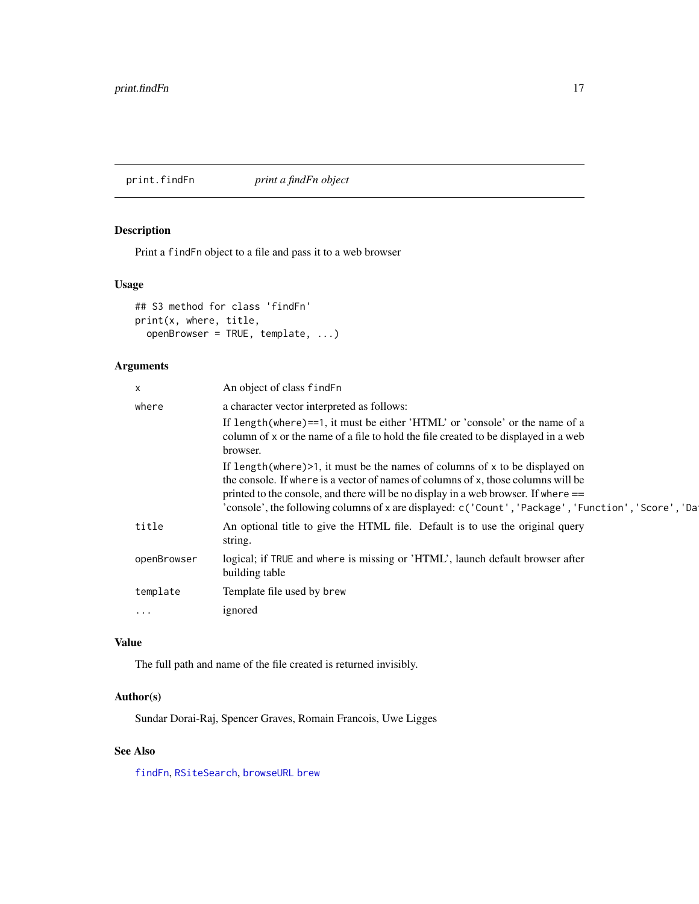<span id="page-16-1"></span><span id="page-16-0"></span>print.findFn *print a findFn object*

# Description

Print a findFn object to a file and pass it to a web browser

#### Usage

```
## S3 method for class 'findFn'
print(x, where, title,
 openBrowser = TRUE, template, ...)
```
# Arguments

| $\times$    | An object of class find Fn                                                                                                                                                                                                                                                                                                                                           |
|-------------|----------------------------------------------------------------------------------------------------------------------------------------------------------------------------------------------------------------------------------------------------------------------------------------------------------------------------------------------------------------------|
| where       | a character vector interpreted as follows:                                                                                                                                                                                                                                                                                                                           |
|             | If length (where)==1, it must be either 'HTML' or 'console' or the name of a<br>column of x or the name of a file to hold the file created to be displayed in a web<br>browser.                                                                                                                                                                                      |
|             | If length (where) $>1$ , it must be the names of columns of x to be displayed on<br>the console. If where is a vector of names of columns of x, those columns will be<br>printed to the console, and there will be no display in a web browser. If where $==$<br>'console', the following columns of x are displayed: c('Count', 'Package', 'Function', 'Score', 'Da |
| title       | An optional title to give the HTML file. Default is to use the original query<br>string.                                                                                                                                                                                                                                                                             |
| openBrowser | logical; if TRUE and where is missing or 'HTML', launch default browser after<br>building table                                                                                                                                                                                                                                                                      |
| template    | Template file used by brew                                                                                                                                                                                                                                                                                                                                           |
| $\cdots$    | ignored                                                                                                                                                                                                                                                                                                                                                              |
|             |                                                                                                                                                                                                                                                                                                                                                                      |

# Value

The full path and name of the file created is returned invisibly.

# Author(s)

Sundar Dorai-Raj, Spencer Graves, Romain Francois, Uwe Ligges

# See Also

[findFn](#page-3-1), [RSiteSearch](#page-0-0), [browseURL](#page-0-0) [brew](#page-0-0)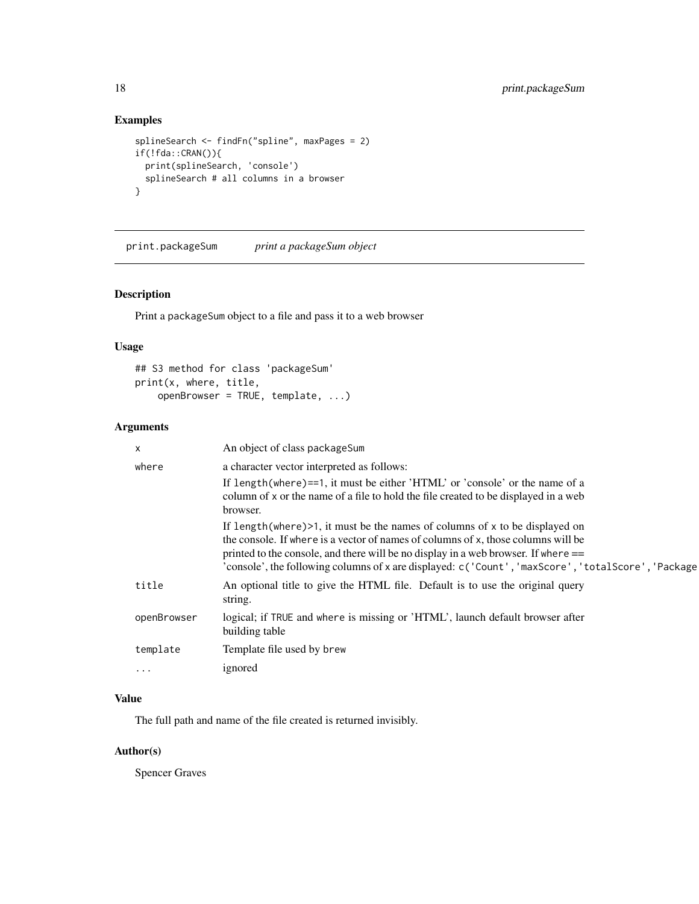# Examples

```
splineSearch <- findFn("spline", maxPages = 2)
if(!fda::CRAN()){
  print(splineSearch, 'console')
  splineSearch # all columns in a browser
}
```
print.packageSum *print a packageSum object*

# Description

Print a packageSum object to a file and pass it to a web browser

#### Usage

```
## S3 method for class 'packageSum'
print(x, where, title,
    openBrowser = TRUE, template, ...)
```
# Arguments

| X           | An object of class packageSum                                                                                                                                                                                                                                                                                                                                        |
|-------------|----------------------------------------------------------------------------------------------------------------------------------------------------------------------------------------------------------------------------------------------------------------------------------------------------------------------------------------------------------------------|
| where       | a character vector interpreted as follows:                                                                                                                                                                                                                                                                                                                           |
|             | If length(where)==1, it must be either 'HTML' or 'console' or the name of a                                                                                                                                                                                                                                                                                          |
|             | column of x or the name of a file to hold the file created to be displayed in a web<br>browser.                                                                                                                                                                                                                                                                      |
|             | If length (where) $>1$ , it must be the names of columns of x to be displayed on<br>the console. If where is a vector of names of columns of x, those columns will be<br>printed to the console, and there will be no display in a web browser. If where $==$<br>'console', the following columns of x are displayed: c('Count', 'maxScore', 'totalScore', 'Package' |
| title       | An optional title to give the HTML file. Default is to use the original query<br>string.                                                                                                                                                                                                                                                                             |
| openBrowser | logical; if TRUE and where is missing or 'HTML', launch default browser after<br>building table                                                                                                                                                                                                                                                                      |
| template    | Template file used by brew                                                                                                                                                                                                                                                                                                                                           |
| $\cdots$    | ignored                                                                                                                                                                                                                                                                                                                                                              |

# Value

The full path and name of the file created is returned invisibly.

# Author(s)

Spencer Graves

<span id="page-17-0"></span>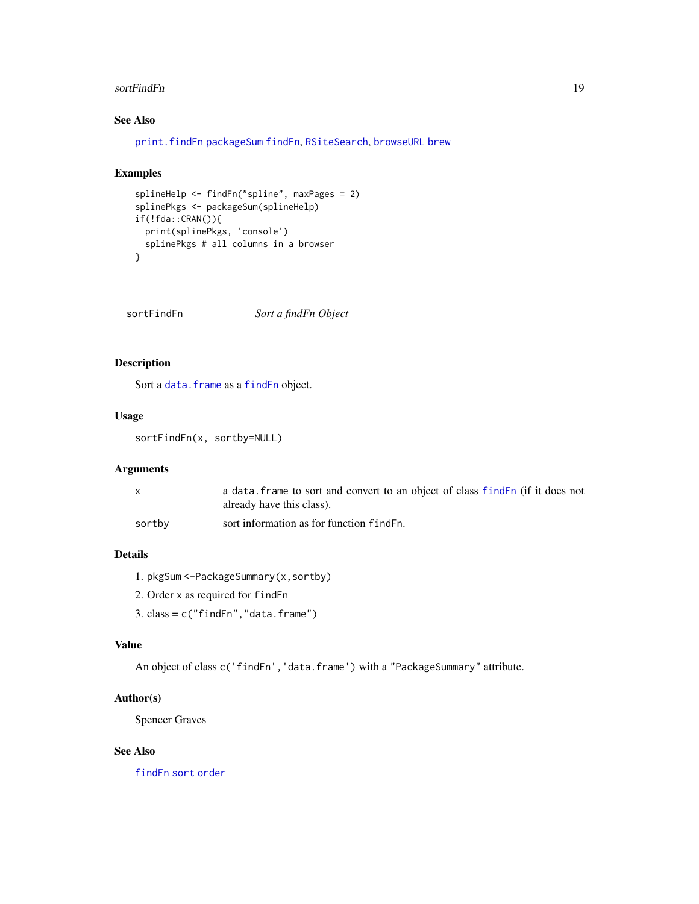#### <span id="page-18-0"></span>sortFindFn 19

# See Also

```
print.findFn packageSum findFn, RSiteSearch, browseURL brew
```
# Examples

```
splineHelp <- findFn("spline", maxPages = 2)
splinePkgs <- packageSum(splineHelp)
if(!fda::CRAN()){
 print(splinePkgs, 'console')
  splinePkgs # all columns in a browser
}
```
<span id="page-18-1"></span>sortFindFn *Sort a findFn Object*

# Description

Sort a data. frame as a [findFn](#page-3-1) object.

# Usage

sortFindFn(x, sortby=NULL)

# Arguments

|        | a data. frame to sort and convert to an object of class findEn (if it does not |
|--------|--------------------------------------------------------------------------------|
|        | already have this class).                                                      |
| sortby | sort information as for function find Fn.                                      |

# Details

- 1. pkgSum <-PackageSummary(x,sortby)
- 2. Order x as required for findFn
- $3. \text{ class} = c("findFn", "data-frame")$

#### Value

An object of class c('findFn','data.frame') with a "PackageSummary" attribute.

# Author(s)

Spencer Graves

# See Also

[findFn](#page-3-1) [sort](#page-0-0) [order](#page-0-0)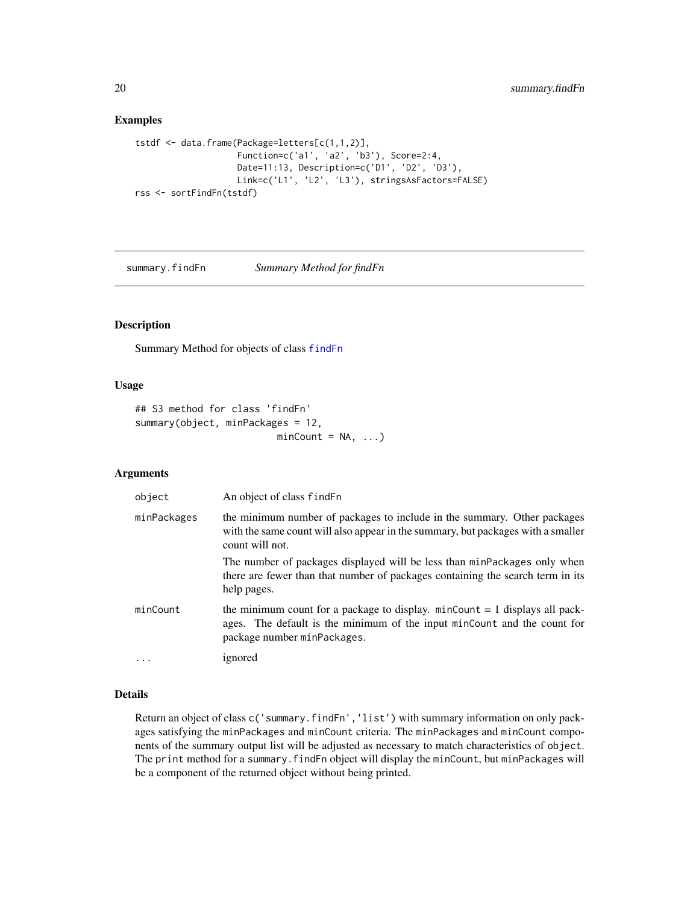#### Examples

```
tstdf <- data.frame(Package=letters[c(1,1,2)],
                    Function=c('a1', 'a2', 'b3'), Score=2:4,
                    Date=11:13, Description=c('D1', 'D2', 'D3'),
                    Link=c('L1', 'L2', 'L3'), stringsAsFactors=FALSE)
rss <- sortFindFn(tstdf)
```
summary.findFn *Summary Method for findFn*

#### Description

Summary Method for objects of class [findFn](#page-3-1)

#### Usage

```
## S3 method for class 'findFn'
summary(object, minPackages = 12,
                         minCount = NA, ...)
```
#### Arguments

| object      | An object of class findFn                                                                                                                                                                |
|-------------|------------------------------------------------------------------------------------------------------------------------------------------------------------------------------------------|
| minPackages | the minimum number of packages to include in the summary. Other packages<br>with the same count will also appear in the summary, but packages with a smaller<br>count will not.          |
|             | The number of packages displayed will be less than minPackages only when<br>there are fewer than that number of packages containing the search term in its<br>help pages.                |
| minCount    | the minimum count for a package to display. $minCount = 1$ displays all pack-<br>ages. The default is the minimum of the input minCount and the count for<br>package number minPackages. |
| $\cdots$    | ignored                                                                                                                                                                                  |

# Details

Return an object of class c('summary.findFn','list') with summary information on only packages satisfying the minPackages and minCount criteria. The minPackages and minCount components of the summary output list will be adjusted as necessary to match characteristics of object. The print method for a summary.findFn object will display the minCount, but minPackages will be a component of the returned object without being printed.

<span id="page-19-0"></span>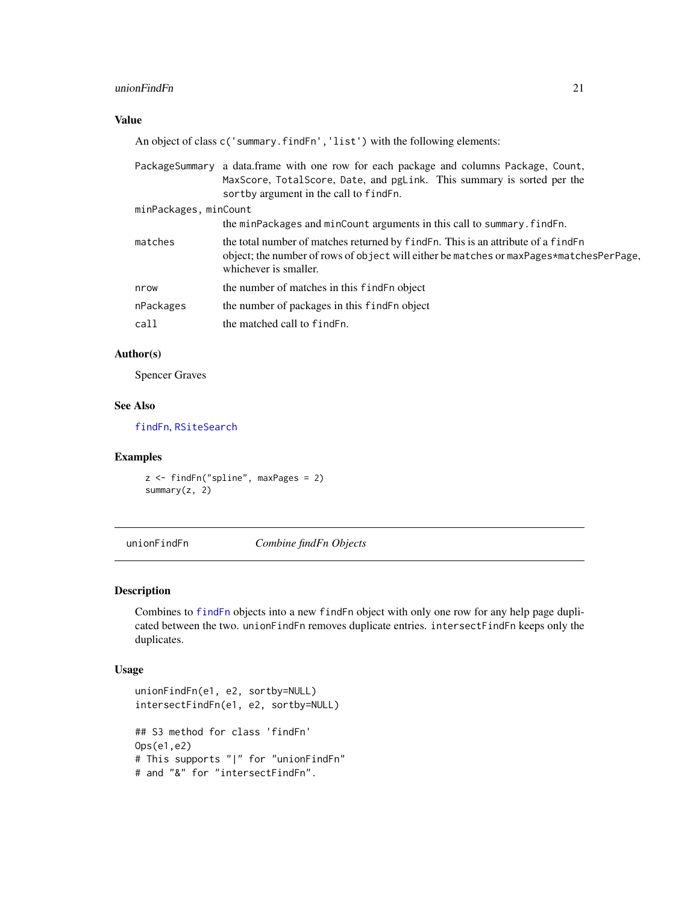#### <span id="page-20-0"></span>unionFindFn 21

# Value

An object of class c('summary.findFn','list') with the following elements:

|                       | PackageSummary a data.frame with one row for each package and columns Package, Count,<br>MaxScore, TotalScore, Date, and pgLink. This summary is sorted per the<br>sortby argument in the call to find Fn. |
|-----------------------|------------------------------------------------------------------------------------------------------------------------------------------------------------------------------------------------------------|
| minPackages, minCount |                                                                                                                                                                                                            |
|                       | the minPackages and minCount arguments in this call to summary. find Fn.                                                                                                                                   |
| matches               | the total number of matches returned by find Fn. This is an attribute of a find Fn<br>object; the number of rows of object will either be matches or maxPages*matchesPerPage,<br>whichever is smaller.     |
| nrow                  | the number of matches in this find Fn object                                                                                                                                                               |
| nPackages             | the number of packages in this find F n object                                                                                                                                                             |
| call                  | the matched call to find Fn.                                                                                                                                                                               |

# Author(s)

Spencer Graves

# See Also

[findFn](#page-3-1), [RSiteSearch](#page-0-0)

#### Examples

z <- findFn("spline", maxPages = 2) summary(z, 2)

<span id="page-20-1"></span>unionFindFn *Combine findFn Objects*

### <span id="page-20-2"></span>Description

Combines to [findFn](#page-3-1) objects into a new findFn object with only one row for any help page duplicated between the two. unionFindFn removes duplicate entries. intersectFindFn keeps only the duplicates.

```
unionFindFn(e1, e2, sortby=NULL)
intersectFindFn(e1, e2, sortby=NULL)
## S3 method for class 'findFn'
Ops(e1,e2)
# This supports "|" for "unionFindFn"
# and "&" for "intersectFindFn".
```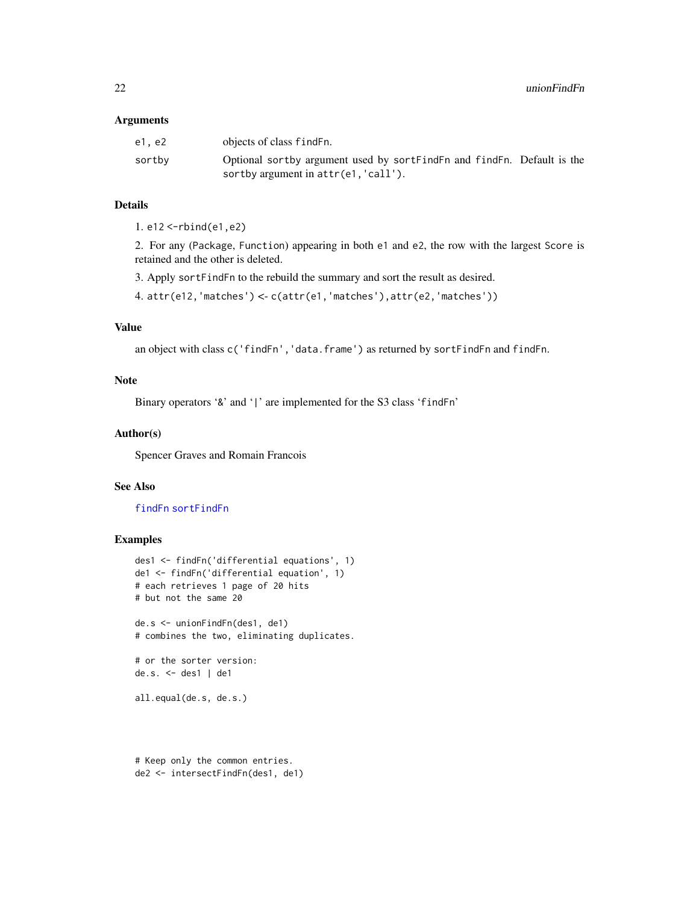<span id="page-21-0"></span>

| e1. e2 | objects of class find Fn.                                              |
|--------|------------------------------------------------------------------------|
| sortby | Optional sortby argument used by sortFindFn and findFn. Default is the |
|        | sortby argument in attr(e1, 'call').                                   |

#### Details

1. e12 <-rbind(e1,e2)

2. For any (Package, Function) appearing in both e1 and e2, the row with the largest Score is retained and the other is deleted.

3. Apply sortFindFn to the rebuild the summary and sort the result as desired.

4. attr(e12,'matches') <- c(attr(e1,'matches'),attr(e2,'matches'))

# Value

an object with class c('findFn','data.frame') as returned by sortFindFn and findFn.

#### Note

Binary operators '&' and '|' are implemented for the S3 class 'findFn'

#### Author(s)

Spencer Graves and Romain Francois

# See Also

[findFn](#page-3-1) [sortFindFn](#page-18-1)

# Examples

```
des1 <- findFn('differential equations', 1)
de1 <- findFn('differential equation', 1)
# each retrieves 1 page of 20 hits
# but not the same 20
de.s <- unionFindFn(des1, de1)
# combines the two, eliminating duplicates.
# or the sorter version:
de.s. <- des1 | de1
all.equal(de.s, de.s.)
# Keep only the common entries.
```
de2 <- intersectFindFn(des1, de1)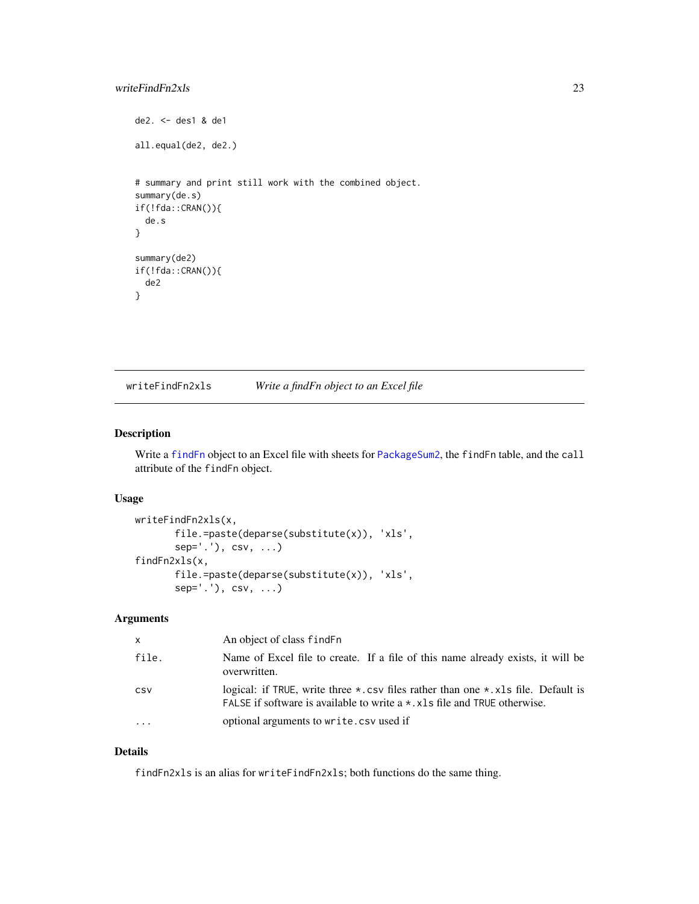# <span id="page-22-0"></span>writeFindFn2xls 23

```
de2. <- des1 & de1
all.equal(de2, de2.)
# summary and print still work with the combined object.
summary(de.s)
if(!fda::CRAN()){
 de.s
}
summary(de2)
if(!fda::CRAN()){
 de2
}
```
writeFindFn2xls *Write a findFn object to an Excel file*

# Description

Write a [findFn](#page-3-1) object to an Excel file with sheets for [PackageSum2](#page-12-1), the findFn table, and the call attribute of the findFn object.

# Usage

```
writeFindFn2xls(x,
       file.=paste(deparse(substitute(x)), 'xls',
       sep='.', csv, ...findFn2xls(x,
       file.=paste(deparse(substitute(x)), 'xls',
       sep='.'), csv, ...)
```
# Arguments

| <b>X</b>  | An object of class find Fn                                                                                                                                                            |
|-----------|---------------------------------------------------------------------------------------------------------------------------------------------------------------------------------------|
| file.     | Name of Excel file to create. If a file of this name already exists, it will be<br>overwritten.                                                                                       |
| CSV       | logical: if TRUE, write three $\star$ . csv files rather than one $\star$ . xls file. Default is<br>FALSE if software is available to write $a \star$ . x ls file and TRUE otherwise. |
| $\ddotsc$ | optional arguments to write.csv used if                                                                                                                                               |

# Details

findFn2xls is an alias for writeFindFn2xls; both functions do the same thing.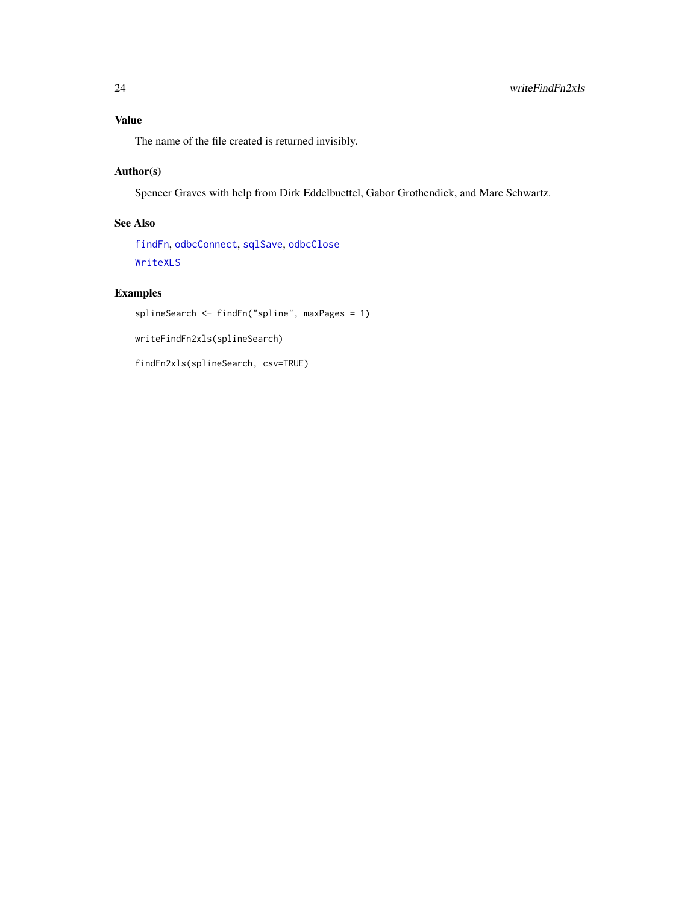# <span id="page-23-0"></span>Value

The name of the file created is returned invisibly.

# Author(s)

Spencer Graves with help from Dirk Eddelbuettel, Gabor Grothendiek, and Marc Schwartz.

# See Also

[findFn](#page-3-1), [odbcConnect](#page-0-0), [sqlSave](#page-0-0), [odbcClose](#page-0-0) [WriteXLS](#page-0-0)

# Examples

```
splineSearch <- findFn("spline", maxPages = 1)
```
writeFindFn2xls(splineSearch)

findFn2xls(splineSearch, csv=TRUE)